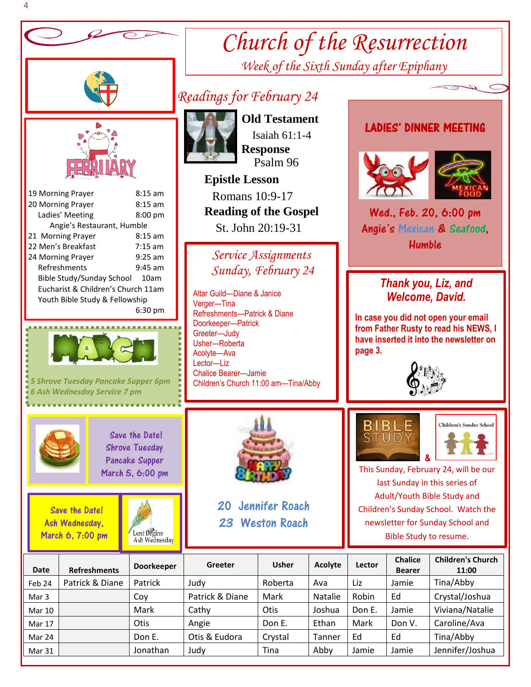

Mar 31 | **Jonathan Judy | Tina | Abby Jamie | Jamie | Jennifer**/Joshua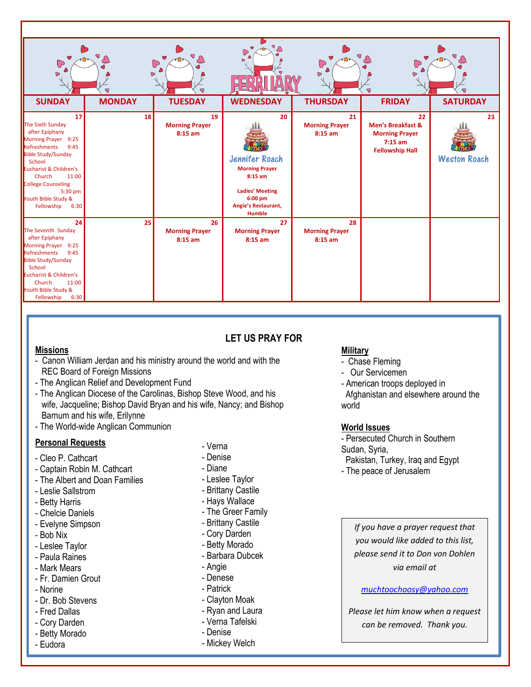| $\circ$<br>$\bigcirc$<br>$\bullet$<br><b>SUNDAY</b>                                                                                                                                                                                                                        | $\sigma$<br>$\bullet$<br>7<br><b>MONDAY</b> | $\sigma$<br>♡<br>$\overline{\mathbb{C}}$<br>$\overline{\mathbf{U}}$<br><b>TUESDAY</b> | $\bigcirc$<br>$\bullet$<br>$\mathbb{D}$<br>С<br>П<br>$\Box$<br><b>WEDNESDAY</b>                                                  | $\bigcup$<br>$\bullet$<br><b>THURSDAY</b> | $\sigma$<br>$\bigcup$<br>$\bullet$<br>$\bigtriangledown$<br><b>FRIDAY</b>                          | $\sigma_{\bigodot}$<br>7<br><b>SATURDAY</b> |
|----------------------------------------------------------------------------------------------------------------------------------------------------------------------------------------------------------------------------------------------------------------------------|---------------------------------------------|---------------------------------------------------------------------------------------|----------------------------------------------------------------------------------------------------------------------------------|-------------------------------------------|----------------------------------------------------------------------------------------------------|---------------------------------------------|
|                                                                                                                                                                                                                                                                            |                                             |                                                                                       |                                                                                                                                  |                                           |                                                                                                    |                                             |
| 17<br>The Sixth Sunday<br>after Epiphany<br><b>Morning Prayer</b><br>9:25<br>Refreshments<br>9:45<br><b>Bible Study/Sunday</b><br>School<br>Eucharist & Children's<br>Church<br>11:00<br><b>College Counseling</b><br>5:30 pm<br>Youth Bible Study &<br>Fellowship<br>6:30 | 18                                          | 19<br><b>Morning Prayer</b><br>8:15 am                                                | 20<br>Jennifer Roach<br><b>Morning Prayer</b><br>$8:15$ am<br><b>Ladies' Meeting</b><br>6:00 pm<br>Angie's Restaurant,<br>Humble | 21<br><b>Morning Prayer</b><br>$8:15$ am  | 22<br><b>Men's Breakfast &amp;</b><br><b>Morning Prayer</b><br>$7:15$ am<br><b>Fellowship Hall</b> | 23<br><b>Weston Roach</b>                   |
| 24                                                                                                                                                                                                                                                                         | 25                                          | 26                                                                                    | 27                                                                                                                               | 28                                        |                                                                                                    |                                             |
| The Seventh Sunday<br>after Epiphany<br>Morning Prayer 9:25<br>Refreshments<br>9:45<br><b>Bible Study/Sunday</b><br>School<br>Eucharist & Children's<br>Church<br>11:00<br>Youth Bible Study &<br>Fellowship<br>6:30                                                       |                                             | <b>Morning Prayer</b><br>$8:15$ am                                                    | <b>Morning Prayer</b><br>$8:15$ am                                                                                               | <b>Morning Prayer</b><br>$8:15$ am        |                                                                                                    |                                             |

# **LET US PRAY FOR**

### **Missions**

- Canon William Jerdan and his ministry around the world and with the REC Board of Foreign Missions
- The Anglican Relief and Development Fund
- The Anglican Diocese of the Carolinas, Bishop Steve Wood, and his wife, Jacqueline; Bishop David Bryan and his wife, Nancy; and Bishop Barnum and his wife, Erilynne
- The World-wide Anglican Communion

## **Personal Requests**

- Cleo P. Cathcart
- Captain Robin M. Cathcart
- The Albert and Doan Families
- Leslie Sallstrom
- Betty Harris
- Chelcie Daniels
- Evelyne Simpson
- Bob Nix
- Leslee Taylor
- Paula Raines
- Mark Mears
- Fr. Damien Grout
- Norine
- Dr. Bob Stevens
- Fred Dallas
- Cory Darden
- Betty Morado
- Eudora
- Verna
- Denise
- Diane
- Leslee Taylor
- Brittany Castile
- Hays Wallace
- The Greer Family
- Brittany Castile
- Cory Darden
- Betty Morado
- Barbara Dubcek
- Angie
- Denese
- Patrick
- Clayton Moak
- Ryan and Laura
- Verna Tafelski
- Denise

-

- Mickey Welch

## **Military**

- Chase Fleming
- Our Servicemen

- American troops deployed in Afghanistan and elsewhere around the world

## **World Issues**

- Persecuted Church in Southern

- Sudan, Syria,
- Pakistan, Turkey, Iraq and Egypt
- The peace of Jerusalem

*If you have a prayer request that you would like added to this list, please send it to Don von Dohlen via email at* 

### *[muchtoochoosy@yahoo.com](mailto:muchtoochoosy@yahoo.com)*

*Please let him know when a request can be removed. Thank you.*